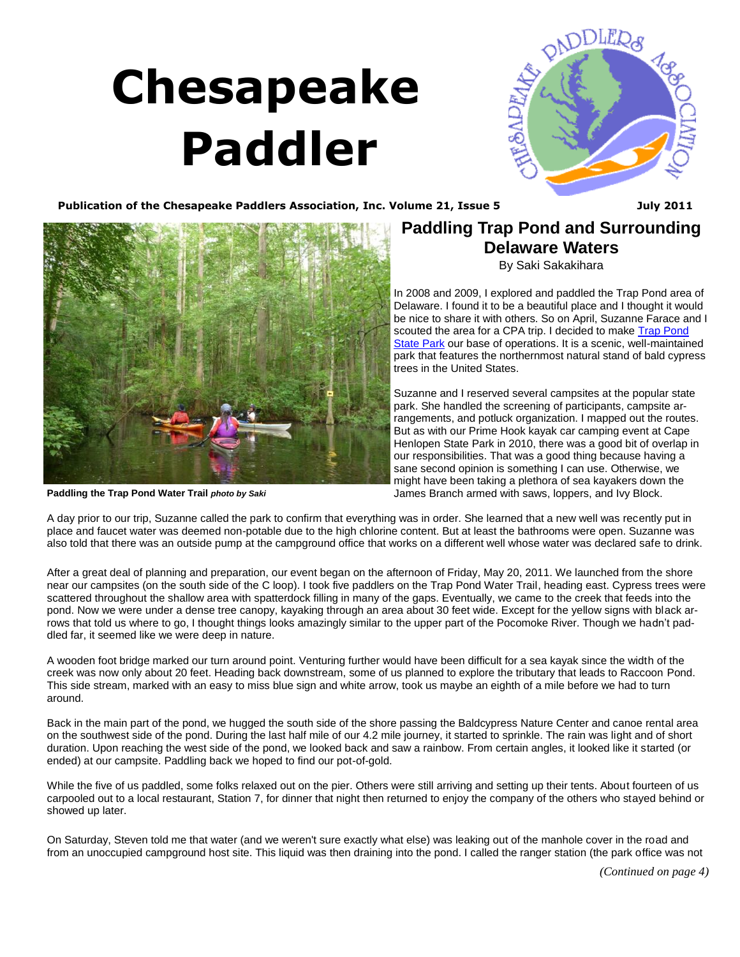# <span id="page-0-0"></span> **Chesapeake Paddler**



## Publication of the Chesapeake Paddlers Association, Inc. Volume 21, Issue 5 **July 2011**



**Paddling the Trap Pond Water Trail** *photo by Saki*

## **Paddling Trap Pond and Surrounding Delaware Waters**

By Saki Sakakihara

In 2008 and 2009, I explored and paddled the Trap Pond area of Delaware. I found it to be a beautiful place and I thought it would be nice to share it with others. So on April, Suzanne Farace and I scouted the area for a CPA trip. I decided to make Trap Pond [State Park](http://www.destateparks.com/park/trap-pond/index.asp) our base of operations. It is a scenic, well-maintained park that features the northernmost natural stand of bald cypress trees in the United States.

Suzanne and I reserved several campsites at the popular state park. She handled the screening of participants, campsite arrangements, and potluck organization. I mapped out the routes. But as with our Prime Hook kayak car camping event at Cape Henlopen State Park in 2010, there was a good bit of overlap in our responsibilities. That was a good thing because having a sane second opinion is something I can use. Otherwise, we might have been taking a plethora of sea kayakers down the James Branch armed with saws, loppers, and Ivy Block.

A day prior to our trip, Suzanne called the park to confirm that everything was in order. She learned that a new well was recently put in place and faucet water was deemed non-potable due to the high chlorine content. But at least the bathrooms were open. Suzanne was also told that there was an outside pump at the campground office that works on a different well whose water was declared safe to drink.

After a great deal of planning and preparation, our event began on the afternoon of Friday, May 20, 2011. We launched from the shore near our campsites (on the south side of the C loop). I took five paddlers on the Trap Pond Water Trail, heading east. Cypress trees were scattered throughout the shallow area with spatterdock filling in many of the gaps. Eventually, we came to the creek that feeds into the pond. Now we were under a dense tree canopy, kayaking through an area about 30 feet wide. Except for the yellow signs with black arrows that told us where to go, I thought things looks amazingly similar to the upper part of the Pocomoke River. Though we hadn't paddled far, it seemed like we were deep in nature.

A wooden foot bridge marked our turn around point. Venturing further would have been difficult for a sea kayak since the width of the creek was now only about 20 feet. Heading back downstream, some of us planned to explore the tributary that leads to Raccoon Pond. This side stream, marked with an easy to miss blue sign and white arrow, took us maybe an eighth of a mile before we had to turn around.

Back in the main part of the pond, we hugged the south side of the shore passing the Baldcypress Nature Center and canoe rental area on the southwest side of the pond. During the last half mile of our 4.2 mile journey, it started to sprinkle. The rain was light and of short duration. Upon reaching the west side of the pond, we looked back and saw a rainbow. From certain angles, it looked like it started (or ended) at our campsite. Paddling back we hoped to find our pot-of-gold.

While the five of us paddled, some folks relaxed out on the pier. Others were still arriving and setting up their tents. About fourteen of us carpooled out to a local restaurant, Station 7, for dinner that night then returned to enjoy the company of the others who stayed behind or showed up later.

On Saturday, Steven told me that water (and we weren't sure exactly what else) was leaking out of the manhole cover in the road and from an unoccupied campground host site. This liquid was then draining into the pond. I called the ranger station (the park office was not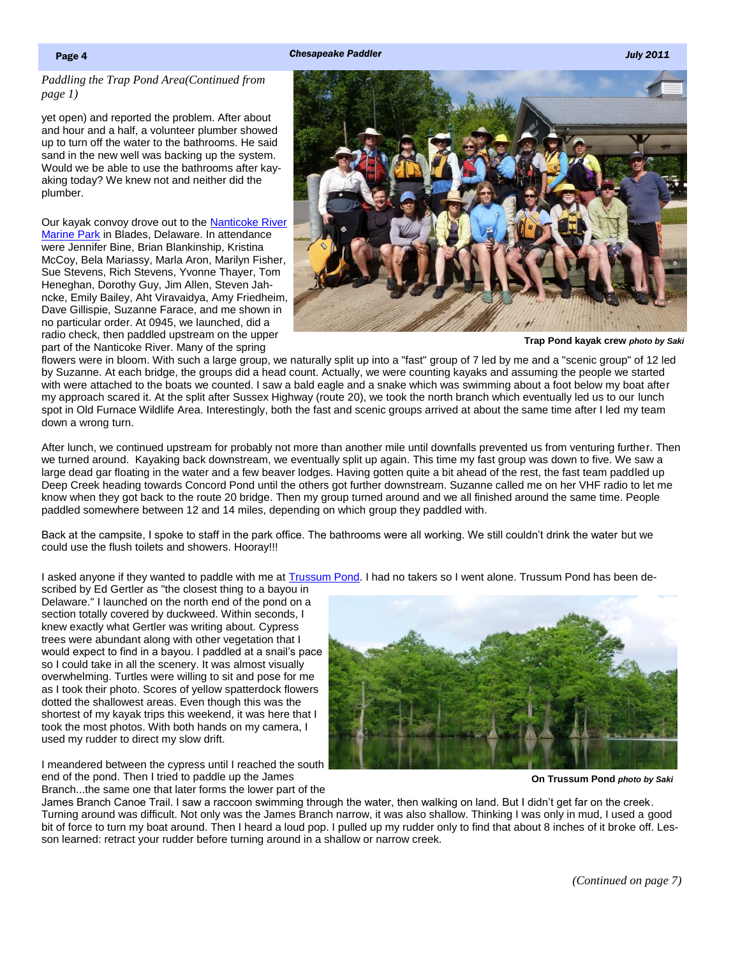### <span id="page-1-0"></span>Page 4 *Chesapeake Paddler July 2011*

*[Paddling the Trap Pond Area\(Continued from](#page-0-0)  page 1)*

yet open) and reported the problem. After about and hour and a half, a volunteer plumber showed up to turn off the water to the bathrooms. He said sand in the new well was backing up the system. Would we be able to use the bathrooms after kayaking today? We knew not and neither did the plumber.

Our kayak convoy drove out to the [Nanticoke River](http://saki.iwarp.com/launch_sites.html#nanticokeRiverMarinePark)  [Marine Park](http://saki.iwarp.com/launch_sites.html#nanticokeRiverMarinePark) in Blades, Delaware. In attendance were Jennifer Bine, Brian Blankinship, Kristina McCoy, Bela Mariassy, Marla Aron, Marilyn Fisher, Sue Stevens, Rich Stevens, Yvonne Thayer, Tom Heneghan, Dorothy Guy, Jim Allen, Steven Jahncke, Emily Bailey, Aht Viravaidya, Amy Friedheim, Dave Gillispie, Suzanne Farace, and me shown in no particular order. At 0945, we launched, did a radio check, then paddled upstream on the upper part of the Nanticoke River. Many of the spring



**Trap Pond kayak crew** *photo by Saki*

flowers were in bloom. With such a large group, we naturally split up into a "fast" group of 7 led by me and a "scenic group" of 12 led by Suzanne. At each bridge, the groups did a head count. Actually, we were counting kayaks and assuming the people we started with were attached to the boats we counted. I saw a bald eagle and a snake which was swimming about a foot below my boat after my approach scared it. At the split after Sussex Highway (route 20), we took the north branch which eventually led us to our lunch spot in Old Furnace Wildlife Area. Interestingly, both the fast and scenic groups arrived at about the same time after I led my team down a wrong turn.

After lunch, we continued upstream for probably not more than another mile until downfalls prevented us from venturing further. Then we turned around. Kayaking back downstream, we eventually split up again. This time my fast group was down to five. We saw a large dead gar floating in the water and a few beaver lodges. Having gotten quite a bit ahead of the rest, the fast team paddled up Deep Creek heading towards Concord Pond until the others got further downstream. Suzanne called me on her VHF radio to let me know when they got back to the route 20 bridge. Then my group turned around and we all finished around the same time. People paddled somewhere between 12 and 14 miles, depending on which group they paddled with.

Back at the campsite, I spoke to staff in the park office. The bathrooms were all working. We still couldn't drink the water but we could use the flush toilets and showers. Hooray!!!

I asked anyone if they wanted to paddle with me at [Trussum Pond.](http://saki.iwarp.com/launch_sites.html#trussumPond) I had no takers so I went alone. Trussum Pond has been de-

scribed by Ed Gertler as "the closest thing to a bayou in Delaware." I launched on the north end of the pond on a section totally covered by duckweed. Within seconds, I knew exactly what Gertler was writing about. Cypress trees were abundant along with other vegetation that I would expect to find in a bayou. I paddled at a snail's pace so I could take in all the scenery. It was almost visually overwhelming. Turtles were willing to sit and pose for me as I took their photo. Scores of yellow spatterdock flowers dotted the shallowest areas. Even though this was the shortest of my kayak trips this weekend, it was here that I took the most photos. With both hands on my camera, I used my rudder to direct my slow drift.

I meandered between the cypress until I reached the south end of the pond. Then I tried to paddle up the James Branch...the same one that later forms the lower part of the



**On Trussum Pond** *photo by Saki*

James Branch Canoe Trail. I saw a raccoon swimming through the water, then walking on land. But I didn't get far on the creek. Turning around was difficult. Not only was the James Branch narrow, it was also shallow. Thinking I was only in mud, I used a good bit of force to turn my boat around. Then I heard a loud pop. I pulled up my rudder only to find that about 8 inches of it broke off. Lesson learned: retract your rudder before turning around in a shallow or narrow creek.